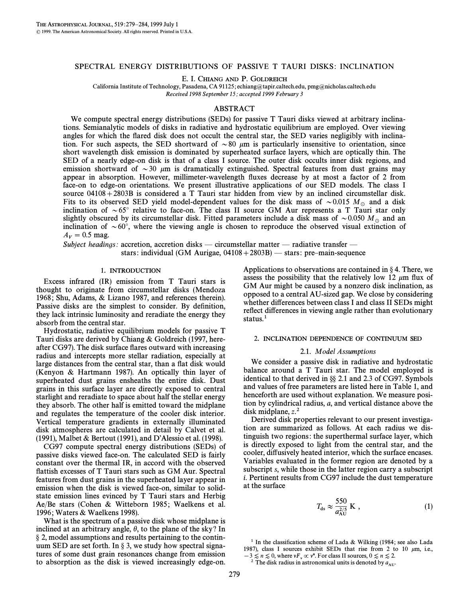# SPECTRAL ENERGY DISTRIBUTIONS OF PASSIVE T TAURI DISKS: INCLINATION

E. I. CHIANG AND P. GOLDREICH

California Institute of Technology, Pasadena, CA 91125; echiang@tapir.caltech.edu, pmg@nicholas.caltech.edu Received 1998 September 15; accepted 1999 February 3

# ABSTRACT

We compute spectral energy distributions (SEDs) for passive T Tauri disks viewed at arbitrary inclinations. Semianalytic models of disks in radiative and hydrostatic equilibrium are employed. Over viewing angles for which the flared disk does not occult the central star, the SED varies negligibly with inclination. For such aspects, the SED shortward of  $\sim 80$   $\mu$ m is particularly insensitive to orientation, since short wavelength disk emission is dominated by superheated surface layers, which are optically thin. The SED of a nearly edge-on disk is that of a class I source. The outer disk occults inner disk regions, and emission shortward of  $\sim$ 30  $\mu$ m is dramatically extinguished. Spectral features from dust grains may appear in absorption. However, millimeter-wavelength Ñuxes decrease by at most a factor of 2 from face-on to edge-on orientations. We present illustrative applications of our SED models. The class I source  $04108+2803B$  is considered a T Tauri star hidden from view by an inclined circumstellar disk. Fits to its observed SED yield model-dependent values for the disk mass of  $\sim 0.015$  M<sub>o</sub> and a disk inclination of  $\sim 65^\circ$  relative to face-on. The class II source GM Aur represents a T Tauri star only slightly obscured by its circumstellar disk. Fitted parameters include a disk mass of  $\sim 0.050$  M<sub>o</sub> and an inclination of  $\sim 60^{\circ}$ , where the viewing angle is chosen to reproduce the observed visual extinction of  $A_V = 0.5$  mag.

Subject headings: accretion, accretion disks — circumstellar matter — radiative transfer stars: individual (GM Aurigae,  $04108 + 2803B$ ) — stars: pre–main-sequence

### 1. INTRODUCTION

Excess infrared (IR) emission from T Tauri stars is thought to originate from circumstellar disks (Mendoza 1968; Shu, Adams, & Lizano 1987, and references therein). Passive disks are the simplest to consider. By definition, they lack intrinsic luminosity and reradiate the energy they absorb from the central star.

Hydrostatic, radiative equilibrium models for passive T Tauri disks are derived by Chiang & Goldreich (1997, hereafter CG97). The disk surface flares outward with increasing radius and intercepts more stellar radiation, especially at large distances from the central star, than a flat disk would (Kenyon & Hartmann 1987). An optically thin layer of superheated dust grains ensheaths the entire disk. Dust grains in this surface layer are directly exposed to central starlight and reradiate to space about half the stellar energy they absorb. The other half is emitted toward the midplane and regulates the temperature of the cooler disk interior. Vertical temperature gradients in externally illuminated disk atmospheres are calculated in detail by Calvet et al. (1991), Malbet & Bertout (1991), and D'Alessio et al. (1998).

CG97 compute spectral energy distributions (SEDs) of passive disks viewed face-on. The calculated SED is fairly constant over the thermal IR, in accord with the observed flattish excesses of T Tauri stars such as GM Aur. Spectral features from dust grains in the superheated layer appear in emission when the disk is viewed face-on, similar to solidstate emission lines evinced by T Tauri stars and Herbig Ae/Be stars (Cohen & Witteborn 1985; Waelkens et al. 1996; Waters & Waelkens 1998).

What is the spectrum of a passive disk whose midplane is inclined at an arbitrary angle,  $\theta$ , to the plane of the sky? In  $\S$  2, model assumptions and results pertaining to the continuum SED are set forth. In  $\S$  3, we study how spectral signatures of some dust grain resonances change from emission to absorption as the disk is viewed increasingly edge-on.

Applications to observations are contained in  $\S 4$ . There, we assess the possibility that the relatively low 12  $\mu$ m flux of GM Aur might be caused by a nonzero disk inclination, as opposed to a central AU-sized gap. We close by considering whether differences between class I and class II SEDs might reflect differences in viewing angle rather than evolutionary status.<sup>1</sup>

### 2. INCLINATION DEPENDENCE OF CONTINUUM SED

### 2.1. Model Assumptions

We consider a passive disk in radiative and hydrostatic balance around a T Tauri star. The model employed is identical to that derived in  $\S$  2.1 and 2.3 of CG97. Symbols and values of free parameters are listed here in Table 1, and henceforth are used without explanation. We measure position by cylindrical radius, a, and vertical distance above the disk midplane,  $z^2$ .

Derived disk properties relevant to our present investigation are summarized as follows. At each radius we distinguish two regions: the superthermal surface layer, which is directly exposed to light from the central star, and the cooler, diffusively heated interior, which the surface encases. Variables evaluated in the former region are denoted by a subscript s, while those in the latter region carry a subscript i. Pertinent results from CG97 include the dust temperature at the surface

$$
T_{\rm ds} \approx \frac{550}{a_{\rm AU}^{2/5}} \,\mathrm{K} \,, \tag{1}
$$

<sup>1</sup> In the classification scheme of Lada & Wilking (1984; see also Lada 1987), class I sources exhibit SEDs that rise from 2 to 10  $\mu$ m, i.e.,  $-3 \le n \le 0$ , where  $vF_v \propto v^n$ . For class II sources,  $0 \le n \le 2$ .<br><sup>2</sup> The disk radius in astronomical units is denoted by a

<sup>&</sup>lt;sup>2</sup> The disk radius in astronomical units is denoted by  $a_{AU}$ .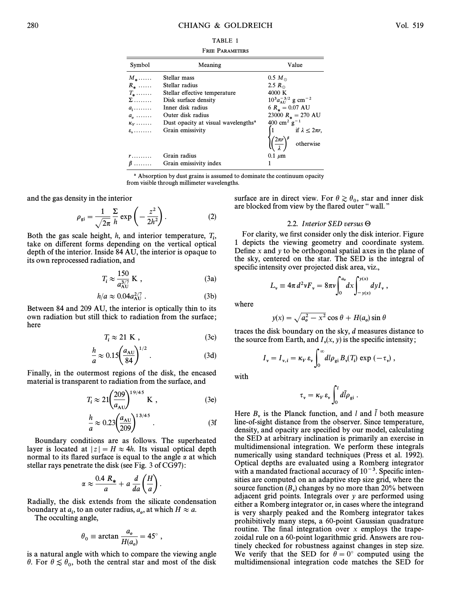| R<br>щ.<br>۰. |  |
|---------------|--|
|---------------|--|

FREE PARAMETERS

| Symbol                     | Meaning                                         | Value                                                                                                                             |
|----------------------------|-------------------------------------------------|-----------------------------------------------------------------------------------------------------------------------------------|
| $M_*$                      | Stellar mass                                    | $0.5 M_{\odot}$                                                                                                                   |
| $R_{\star}$                | Stellar radius                                  | 2.5 $R_{\odot}$                                                                                                                   |
| $T_{\star}$                | Stellar effective temperature                   | 4000 K                                                                                                                            |
| $\Sigma$                   | Disk surface density                            | $10^3 a_{\text{AU}}^{-3/2}$ g cm <sup>-2</sup>                                                                                    |
| $a_i$                      | Inner disk radius                               | 6 $R_* = 0.07$ AU                                                                                                                 |
| $a_{\scriptscriptstyle 0}$ | Outer disk radius                               | 23000 $R_* = 270$ AU                                                                                                              |
| $\kappa_{v}$               | Dust opacity at visual wavelengths <sup>a</sup> | 400 cm <sup>2</sup> g <sup>-1</sup>                                                                                               |
| $\varepsilon$ <sub>v</sub> | Grain emissivity                                |                                                                                                                                   |
|                            |                                                 | $\begin{cases} 1 & \text{if } \lambda \leq 2\pi r, \\ \left(\frac{2\pi r}{\lambda}\right)^{\beta} & \text{otherwise} \end{cases}$ |
| $r \ldots \ldots$          | Grain radius                                    | $0.1 \mu m$                                                                                                                       |
| $\beta$                    | Grain emissivity index                          |                                                                                                                                   |

a Absorption by dust grains is assumed to dominate the continuum opacity from visible through millimeter wavelengths.

and the gas density in the interior

$$
\rho_{\rm gi} = \frac{1}{\sqrt{2\pi}} \frac{\Sigma}{h} \exp\left(-\frac{z^2}{2h^2}\right). \tag{2}
$$

Both the gas scale height,  $h$ , and interior temperature,  $T_i$ , i take on di†erent forms depending on the vertical optical depth of the interior. Inside 84 AU, the interior is opaque to its own reprocessed radiation, and

$$
T_i \approx \frac{150}{a_{\text{AU}}^{3/7}} \text{ K} , \qquad (3a)
$$

$$
h/a \approx 0.04 a_{\rm AU}^{2/7} \,. \tag{3b}
$$

Between 84 and 209 AU, the interior is optically thin to its own radiation but still thick to radiation from the surface ; here

$$
T_i \approx 21 \text{ K} \tag{3c}
$$

$$
\frac{h}{a} \approx 0.15 \left(\frac{a_{\rm AU}}{84}\right)^{1/2} . \tag{3d}
$$

Finally, in the outermost regions of the disk, the encased

material is transparent to radiation from the surface, and  
\n
$$
T_i \approx 21 \left(\frac{209}{a_{\text{AU}}}\right)^{19/45} \text{K} , \qquad (3e)
$$
\n
$$
\frac{h}{a} \approx 0.23 \left(\frac{a_{\text{AU}}}{209}\right)^{13/45} . \qquad (3f)
$$

$$
\frac{h}{a} \approx 0.23 \left( \frac{a_{\rm AU}}{209} \right)^{15/75} \,. \tag{3f}
$$

Boundary conditions are as follows. The superheated layer is located at  $|z| = H \approx 4h$ . Its visual optical depth normal to its flared surface is equal to the angle  $\alpha$  at which

stellar rays penetrate the disk (see Fig. 3 of CG97):  

$$
\alpha \approx \frac{0.4 \ R_*}{a} + a \ \frac{d}{da} \left(\frac{H}{a}\right).
$$

Radially, the disk extends from the silicate condensation boundary at  $a_i$ , to an outer radius,  $a_o$ , at which  $H \approx a$ .<br>The occulting angle

The occulting angle,

$$
\theta_0 \equiv \arctan \frac{a_o}{H(a_o)} = 45^\circ ,
$$

is a natural angle with which to compare the viewing angle  $\theta$ . For  $\theta \lesssim \theta_0$ , both the central star and most of the disk

surface are in direct view. For  $\theta \gtrsim \theta_0$ , star and inner disk are blocked from view by the flared outer "wall."

### 2.2. Interior SED versus  $\Theta$

For clarity, we first consider only the disk interior. Figure 1 depicts the viewing geometry and coordinate system. Define x and y to be orthogonal spatial axes in the plane of the sky, centered on the star. The SED is the integral of

specific intensity over projected disk area, viz.,  
\n
$$
L_{\nu} \equiv 4\pi d^2 v F_{\nu} = 8\pi v \int_0^{a_o} dx \int_{-y(x)}^{y(x)} dy I_{\nu},
$$

where

$$
y(x) = \sqrt{a_o^2 - x^2} \cos \theta + H(a_o) \sin \theta
$$

traces the disk boundary on the sky, d measures distance to

the source from Earth, and 
$$
I_v(x, y)
$$
 is the specific intensity;  
\n
$$
I_v = I_{v,i} = \kappa_V \varepsilon_v \int_0^\infty dl \rho_{gi} B_v(T_i) \exp(-\tau_v) ,
$$

with

$$
\tau_{\nu} = \kappa_{V} \,\varepsilon_{\nu} \int_{0}^{l} d\tilde{l} \rho_{\rm gi} \;.
$$

Here  $B<sub>v</sub>$  is the Planck function, and l and l both measure line-of-sight distance from the observer. Since temperature, density, and opacity are specified by our model, calculating the SED at arbitrary inclination is primarily an exercise in multidimensional integration. We perform these integrals numerically using standard techniques (Press et al. 1992). Optical depths are evaluated using a Romberg integrator with a mandated fractional accuracy of  $10^{-3}$ . Specific intensities are computed on an adaptive step size grid, where the source function  $(B<sub>y</sub>)$  changes by no more than 20% between adjacent grid points. Integrals over y are performed using adjacent grid points. Integrals over y are performed using either a Romberg integrator or, in cases where the integrand is very sharply peaked and the Romberg integrator takes prohibitively many steps, a 60-point Gaussian quadrature routine. The final integration over  $x$  employs the trapezoidal rule on a 60-point logarithmic grid. Answers are routinely checked for robustness against changes in step size. We verify that the SED for  $\theta = 0^{\circ}$  computed using the multidimensional integration code matches the SED for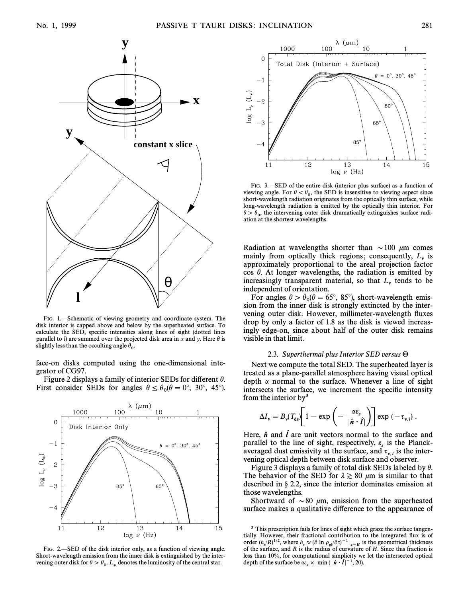

FIG. 1.—Schematic of viewing geometry and coordinate system. The disk interior is capped above and below by the superheated surface. To calculate the SED, specific intensities along lines of sight (dotted lines parallel to l) are summed over the projected disk area in x and y. Here  $\theta$  is slightly less than the occulting angle  $\theta_0$ .

face-on disks computed using the one-dimensional integrator of CG97.

Figure 2 displays a family of interior SEDs for different  $\theta$ . First consider SEDs for angles  $\theta \le \theta_0(\theta = 0^\circ, 30^\circ, 45^\circ)$ .



FIG. 2.—SED of the disk interior only, as a function of viewing angle. Short-wavelength emission from the inner disk is extinguished by the intervening outer disk for  $\theta > \theta_0$ .  $L_*$  denotes the luminosity of the central star.



FIG. 3. SED of the entire disk (interior plus surface) as a function of viewing angle. For  $\theta < \theta_0$ , the SED is insensitive to viewing aspect since that wavelength rediction originates from the optically thin surface while short-wavelength radiation originates from the optically thin surface, while long-wavelength radiation is emitted by the optically thin interior. For  $heta \to \theta_0$ , the intervening outer disk dramatically extinguishes surface radi-<br>ation at the shortest wavelengths ation at the shortest wavelengths.

Radiation at wavelengths shorter than  $\sim$  100  $\mu$ m comes mainly from optically thick regions; consequently,  $L_{\nu}$  is approximately proportional to the areal projection factor cos  $\theta$ . At longer wavelengths, the radiation is emitted by increasingly transparent material, so that  $L<sub>v</sub>$  tends to be independent of orientation.

For angles  $\theta > \theta_0(\theta = 65^\circ, 85^\circ)$ , short-wavelength emis-<br>on from the inner disk is strongly extincted by the intersion from the inner disk is strongly extincted by the intervening outer disk. However, millimeter-wavelength fluxes drop by only a factor of 1.8 as the disk is viewed increasingly edge-on, since about half of the outer disk remains visible in that limit.

## 2.3. Superthermal plus Interior SED versus  $\Theta$

Next we compute the total SED. The superheated layer is treated as a plane-parallel atmosphere having visual optical depth  $\alpha$  normal to the surface. Whenever a line of sight intersects the surface, we increment the specific intensity

from the interior by<sup>3</sup>  
\n
$$
\Delta I_{\nu} = B_{\nu}(T_{ds}) \left[ 1 - \exp \left( - \frac{\alpha \varepsilon_s}{|\hat{n} \cdot \hat{l}|} \right) \right] \exp \left( - \tau_{\nu, l} \right).
$$

Here,  $\hat{n}$  and  $\hat{l}$  are unit vectors normal to the surface and parallel to the line of sight, respectively,  $\varepsilon_s$  is the Planckaveraged dust emissivity at the surface, and  $\tau_{v,l}$  is the intervening optical depth between disk surface and observer.

Figure 3 displays a family of total disk SEDs labeled by  $\theta$ . The behavior of the SED for  $\lambda \gtrsim 80 \ \mu \text{m}$  is similar to that described in  $\S 2.2$ , since the interior dominates emission at those wavelengths.

Shortward of  $\sim 80$  µm, emission from the superheated surface makes a qualitative difference to the appearance of

<sup>&</sup>lt;sup>3</sup> This prescription fails for lines of sight which graze the surface tangentially. However, their fractional contribution to the integrated Ñux is of order  $(h_s/R)^{1/2}$ , where  $h_s \approx (\partial \ln \rho_{si}/\partial z)^{-1}|_{z=H}$  is the geometrical thickness<br>of the surface, and *B* is the radius of curvature of *H*. Since this fraction is of the surface, and R is the radius of curvature of H. Since this fraction is less than 10%, for computational simplicity we let the intersected optical depth of the surface be  $\alpha \varepsilon_s \times \min(|\hat{\boldsymbol{n}} \cdot \hat{\boldsymbol{l}}|^{-1}, 20)$ .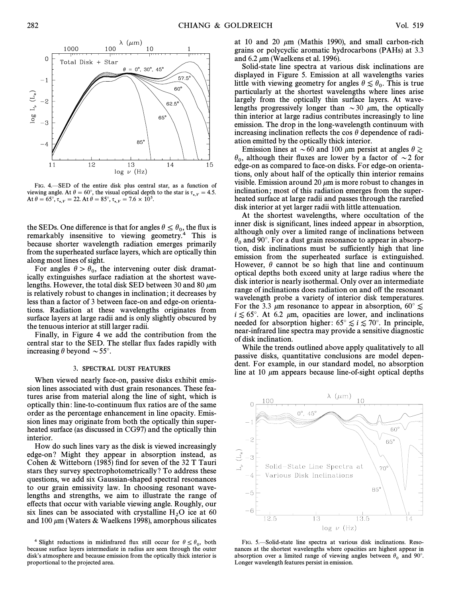



FIG. 4. SED of the entire disk plus central star, as a function of viewing angle. At  $\theta = 60^\circ$ , the visual optical depth to the star is  $\tau_{*,V} = 4.5$ .<br>At  $\theta = 65^\circ$   $\tau_{\text{max}} = 22$ . At  $\theta = 85^\circ$   $\tau_{\text{max}} = 7.6 \times 10^5$ . At  $\theta = 65^{\circ}, \tau_{*,v} = 22$ . At  $\theta = 85^{\circ}, \tau_{*,v} = 7.6 \times 10^5$ .

the SEDs. One difference is that for angles  $\theta \le \theta_0$ , the flux is remarkably inconsitive to viewing geometry <sup>4</sup>. This is remarkably insensitive to viewing geometry.4 This is because shorter wavelength radiation emerges primarily from the superheated surface layers, which are optically thin along most lines of sight.

For angles  $\theta > \theta_0$ , the intervening outer disk dramat-<br>ally extinguishes surface rediction at the shortest wave ically extinguishes surface radiation at the shortest wavelengths. However, the total disk SED between 30 and 80  $\mu$ m is relatively robust to changes in inclination ; it decreases by less than a factor of 3 between face-on and edge-on orientations. Radiation at these wavelengths originates from surface layers at large radii and is only slightly obscured by the tenuous interior at still larger radii.

Finally, in Figure 4 we add the contribution from the central star to the SED. The stellar flux fades rapidly with increasing  $\theta$  beyond  $\sim$  55°.

### 3. SPECTRAL DUST FEATURES

When viewed nearly face-on, passive disks exhibit emission lines associated with dust grain resonances. These features arise from material along the line of sight, which is optically thin : line-to-continuum Ñux ratios are of the same order as the percentage enhancement in line opacity. Emission lines may originate from both the optically thin superheated surface (as discussed in CG97) and the optically thin interior.

How do such lines vary as the disk is viewed increasingly edge-on ? Might they appear in absorption instead, as Cohen & Witteborn (1985) find for seven of the 32 T Tauri stars they survey spectrophotometrically ? To address these questions, we add six Gaussian-shaped spectral resonances to our grain emissivity law. In choosing resonant wavelengths and strengths, we aim to illustrate the range of e†ects that occur with variable viewing angle. Roughly, our six lines can be associated with crystalline  $H_2O$  ice at 60<br>and 100 um (Waters & Waelkens 1998) amorphous silicates and 100  $\mu$ m (Waters & Waelkens 1998), amorphous silicates

at 10 and 20  $\mu$ m (Mathis 1990), and small carbon-rich grains or polycyclic aromatic hydrocarbons (PAHs) at 3.3 and 6.2  $\mu$ m (Waelkens et al. 1996).

Solid-state line spectra at various disk inclinations are displayed in Figure 5. Emission at all wavelengths varies little with viewing geometry for angles  $\theta \lesssim \theta_0$ . This is true particularly at the shortest wavelengths where lines arise largely from the optically thin surface layers. At wavelengths progressively longer than  $\sim$  30  $\mu$ m, the optically thin interior at large radius contributes increasingly to line emission. The drop in the long-wavelength continuum with increasing inclination reflects the cos  $\theta$  dependence of radiation emitted by the optically thick interior.

Emission lines at  $\sim 60$  and 100  $\mu$ m persist at angles  $\theta \gtrsim$  $\theta_0$ , although their fluxes are lower by a factor of  $\sim$ 2 for edge on exigate. edge-on as compared to face-on disks. For edge-on orientations, only about half of the optically thin interior remains visible. Emission around 20  $\mu$ m is more robust to changes in inclination; most of this radiation emerges from the superheated surface at large radii and passes through the rarefied disk interior at yet larger radii with little attenuation.

At the shortest wavelengths, where occultation of the inner disk is significant, lines indeed appear in absorption, although only over a limited range of inclinations between  $\theta_0$  and 90°. For a dust grain resonance to appear in absorption, disk inclinations must be sufficiently high that line emission from the superheated surface is extinguished. However,  $\theta$  cannot be so high that line and continuum optical depths both exceed unity at large radius where the disk interior is nearly isothermal. Only over an intermediate range of inclinations does radiation on and off the resonant wavelength probe a variety of interior disk temperatures. For the 3.3  $\mu$ m resonance to appear in absorption, 60 $\degree \lesssim$  $i \lesssim 65^{\circ}$ . At 6.2  $\mu$ m, opacities are lower, and inclinations needed for absorption higher:  $65^{\circ} \lesssim i \lesssim 70^{\circ}$ . In principle, near-infrared line spectra may provide a sensitive diagnostic of disk inclination.

While the trends outlined above apply qualitatively to all passive disks, quantitative conclusions are model dependent. For example, in our standard model, no absorption line at 10  $\mu$ m appears because line-of-sight optical depths



FIG. 5.-Solid-state line spectra at various disk inclinations. Resonances at the shortest wavelengths where opacities are highest appear in absorption over a limited range of viewing angles between  $\theta_0$  and 90°. Longer wavelength features persist in emission.

<sup>&</sup>lt;sup>4</sup> Slight reductions in midinfrared flux still occur for  $\theta \le \theta_0$ , both because surface layers intermediate in radius are seen through the outer disk's atmosphere and because emission from the optically thick interior is proportional to the projected area.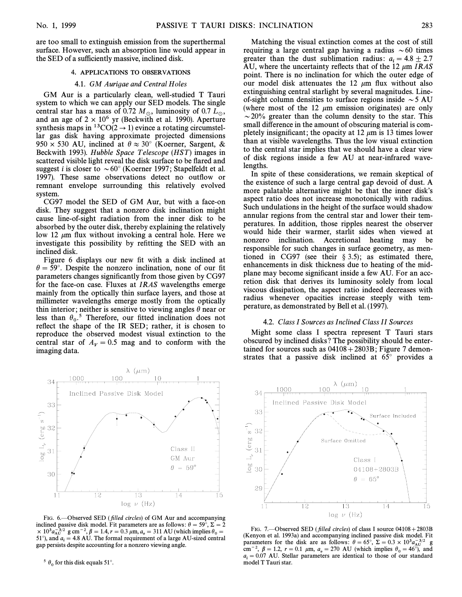are too small to extinguish emission from the superthermal surface. However, such an absorption line would appear in the SED of a sufficiently massive, inclined disk.

# 4. APPLICATIONS TO OBSERVATIONS

#### 4.1. GM Aurigae and Central Holes

GM Aur is a particularly clean, well-studied T Tauri system to which we can apply our SED models. The single central star has a mass of 0.72  $M_{\odot}$ , luminosity of 0.7  $L_{\odot}$ , and an age of  $2 \times 10^6$  yr (Beckwith et al. 1990). Aperture synthesis maps in  ${}^{13}CO(2 \rightarrow 1)$  evince a rotating circumstellar gas disk having approximate projected dimensions  $950 \times 530$  AU, inclined at  $\theta \approx 30^{\circ}$  (Koerner, Sargent, & Beckwith 1993). Hubble Space Telescope (HST) images in scattered visible light reveal the disk surface to be flared and suggest *i* is closer to  $\sim 60^{\circ}$  (Koerner 1997; Stapelfeldt et al. 1997). These same observations detect no outflow or remnant envelope surrounding this relatively evolved system.

CG97 model the SED of GM Aur, but with a face-on disk. They suggest that a nonzero disk inclination might cause line-of-sight radiation from the inner disk to be absorbed by the outer disk, thereby explaining the relatively low 12  $\mu$ m flux without invoking a central hole. Here we investigate this possibility by refitting the SED with an inclined disk.

Figure 6 displays our new fit with a disk inclined at  $\theta = 59^\circ$ . Despite the nonzero inclination, none of our fit parameters changes significantly from those given by CG97 for the face-on case. Fluxes at IRAS wavelengths emerge mainly from the optically thin surface layers, and those at millimeter wavelengths emerge mostly from the optically thin interior; neither is sensitive to viewing angles  $\theta$  near or less than  $\theta_0$ .<sup>5</sup> Therefore, our fitted inclination does not reflect the shape of the IR SED; rather, it is chosen to reproduce the observed modest visual extinction to the central star of  $A_V = 0.5$  mag and to conform with the imaging data.



FIG. 6.--Observed SED (filled circles) of GM Aur and accompanying inclined passive disk model. Fit parameters are as follows:  $\theta = 59^\circ, \Sigma = 2$  $\times 10^{3} a_{\text{A}}^{-3/2}$  g cm<sup>-2</sup>,  $\beta = 1.4$ ,  $r = 0.3 \mu$ m,  $a_{\text{o}} = 311 \text{ AU}$  (which implies  $\theta_{\text{o}} = 51^{\circ}$ ) and  $a_{\text{o}} = 4.8 \text{ AU}$ . The formal requirement of a large ALI sized central 51°), and  $a_i = 4.8$  AU. The formal requirement of a large AU-sized central gap persists despite accounting for a nonzero viewing angle.

<sup>5</sup>  $\theta_0$  for this disk equals 51°.

Matching the visual extinction comes at the cost of still requiring a large central gap having a radius  $\sim 60$  times greater than the dust sublimation radius:  $a_i = 4.8 \pm 2.7$ AU, where the uncertainty reflects that of the 12  $\mu$ m *IRAS* point. There is no inclination for which the outer edge of our model disk attenuates the 12  $\mu$ m flux without also extinguishing central starlight by several magnitudes. Lineof-sight column densities to surface regions inside  $\sim$  5 AU (where most of the 12  $\mu$ m emission originates) are only  $\sim$  20% greater than the column density to the star. This small difference in the amount of obscuring material is completely insignificant; the opacity at 12  $\mu$ m is 13 times lower than at visible wavelengths. Thus the low visual extinction to the central star implies that we should have a clear view of disk regions inside a few AU at near-infrared wavelengths.

In spite of these considerations, we remain skeptical of the existence of such a large central gap devoid of dust. A more palatable alternative might be that the inner disk's aspect ratio does not increase monotonically with radius. Such undulations in the height of the surface would shadow annular regions from the central star and lower their temperatures. In addition, those ripples nearest the observer would hide their warmer, starlit sides when viewed at nonzero inclination. Accretional heating may be responsible for such changes in surface geometry, as mentioned in CG97 (see their  $\S 3.5$ ); as estimated there, enhancements in disk thickness due to heating of the midplane may become significant inside a few AU. For an accretion disk that derives its luminosity solely from local viscous dissipation, the aspect ratio indeed decreases with radius whenever opacities increase steeply with temperature, as demonstrated by Bell et al. (1997).

### 4.2. Class I Sources as Inclined Class II Sources

Might some class I spectra represent T Tauri stars obscured by inclined disks ? The possibility should be entertained for sources such as  $04108 + 2803B$ ; Figure 7 demonstrates that a passive disk inclined at  $65^\circ$  provides a



FIG. 7.—Observed SED (*filled circles*) of class I source  $04108 + 2803B$ (Kenyon et al. 1993a) and accompanying inclined passive disk model. Fit parameters for the disk are as follows:  $\theta = 65^\circ$ ,  $\Sigma = 0.3 \times 10^{3} a_{A}^{-3/2}$  g<br>cm<sup>-2</sup>  $B = 1.2$  r = 0.1 um a = 270. AU (which implies  $\theta = 46^\circ$ ) and cm<sup>-2</sup>,  $\beta = 1.2$ ,  $r = 0.1 \mu$ m,  $a_0 = 270 \text{ AU}$  (which implies  $\theta_0 = 46^\circ$ ), and  $a_i = 0.07$  AU. Stellar parameters are identical to those of our standard in model T Touristan model T Tauri star.